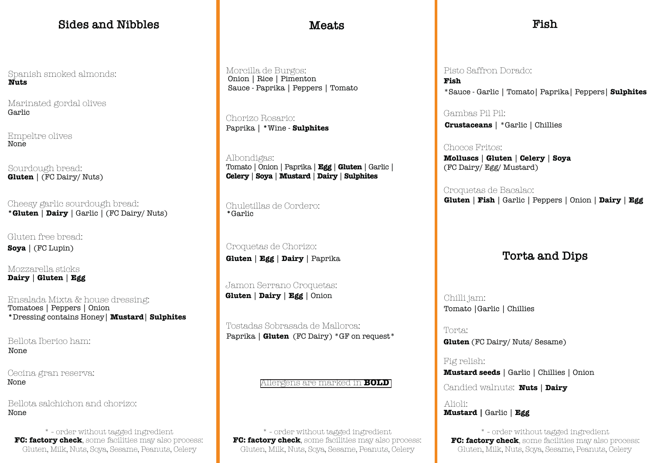# **Sides and Nibbles Meats Fish**

Jamon Serrano Croquetas:

Sourdough bread: **Gluten** | (FC Dairy/ Nuts)

> Tostadas Sobrasada de Mallorca: Paprika | **Gluten** (FC Dairy) \*GF on request\*

Marinated gordal olives Garlic

Gluten, Milk, Nuts, Soya, Sesame, Peanuts, Celery Gluten, Milk, Nuts, Soya, Sesame, Peanuts, Celery Gluten, Milk, Nuts, Soya, Sesame, Peanuts, Celery \* - order without tagged ingredient \* - order without tagged ingredient \* - order without tagged ingredient \* - order without tagged ingredient \* - order without tagged ingredient **\* - order without tagged ingredient FC:** 

Cheesy garlic sourdough bread: **\*Gluten** | **Dairy** | Garlic | (FC Dairy/ Nuts)

Chorizo Rosario: Paprika | **\***Wine - **Sulphites**

Albondigas: Tomato | Onion | Paprika | **Egg** | **Gluten** | Garlic | **Celery** | **Soya** | **Mustard** | **Dairy** | **Sulphites**

Spanish smoked almonds: **Nuts**

> Chuletillas de Cordero: **\***Garlic

Croquetas de Chorizo: **Gluten** | **Egg** | **Dairy** | Paprika

Gluten free bread: **Soya** | (FC Lupin)

Mozzarella sticks **Dairy** | **Gluten** | **Egg** 

Empeltre olives **None** 

Gambas Pil Pil:

Pisto Saffron Dorado: **Fish**

Chocos Fritos: (FC Dairy/ Egg/ Mustard)

**Crustaceans** | \*Garlic | Chillies

**Molluscs** | **Gluten** | **Celery** | **Soya** 

Morcilla de Burgos: Onion | Rice | Pimenton

> Croquetas de Bacalao: **Gluten** | **Fish** | Garlic | Peppers | Onion | **Dairy** | **Egg**

Ensalada Mixta & house dressing: **Gluten** | **Dairy** | **Egg** | Onion Tomatoes | Peppers | Onion **\***Dressing contains Honey| **Mustard**| **Sulphites**

## **Torta and Dips**

Torta:

**Gluten** (FC Dairy/ Nuts/ Sesame)

Fig relish:

**Mustard seeds** | Garlic | Chillies | Onion

**FC: factory check**, some facilities may also process: **FC: factory check**, some facilities may also process: **FC: factory check**, some facilities may also process:

Bellota Iberico ham: None

Candied walnuts: **Nuts** | **Dairy**

**Mustard |** Garlic | **Egg** Alioli:

None Bellota salchichon and chorizo:

None Cecina gran reserva: Sauce - Paprika | Peppers | Tomato \*Sauce - Garlic | Tomato| Paprika| Peppers| **Sulphites**

Chilli jam: Tomato |Garlic | Chillies

Allergens are marked in **BOLD**